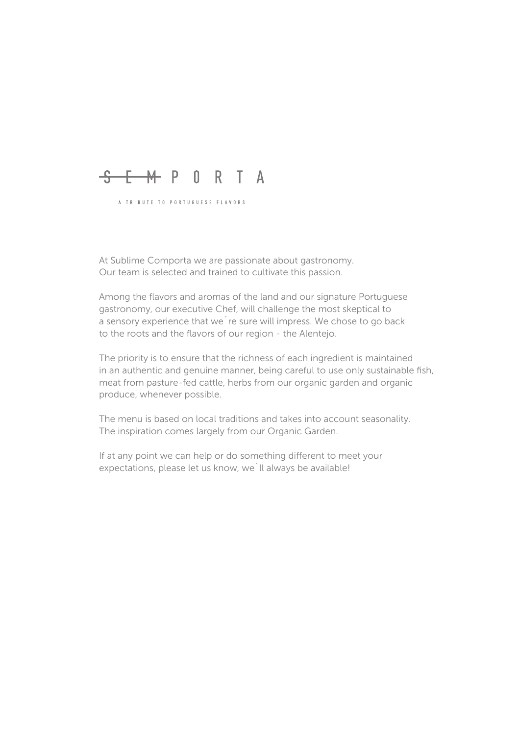# <del>S E M</del> P O R T A

A TRIBUTE TO PORTUGUESE FLAVORS

At Sublime Comporta we are passionate about gastronomy. Our team is selected and trained to cultivate this passion.

Among the flavors and aromas of the land and our signature Portuguese gastronomy, our executive Chef, will challenge the most skeptical to a sensory experience that we´re sure will impress. We chose to go back to the roots and the flavors of our region - the Alentejo.

The priority is to ensure that the richness of each ingredient is maintained in an authentic and genuine manner, being careful to use only sustainable fish, meat from pasture-fed cattle, herbs from our organic garden and organic produce, whenever possible.

The menu is based on local traditions and takes into account seasonality. The inspiration comes largely from our Organic Garden.

If at any point we can help or do something different to meet your expectations, please let us know, we´ll always be available!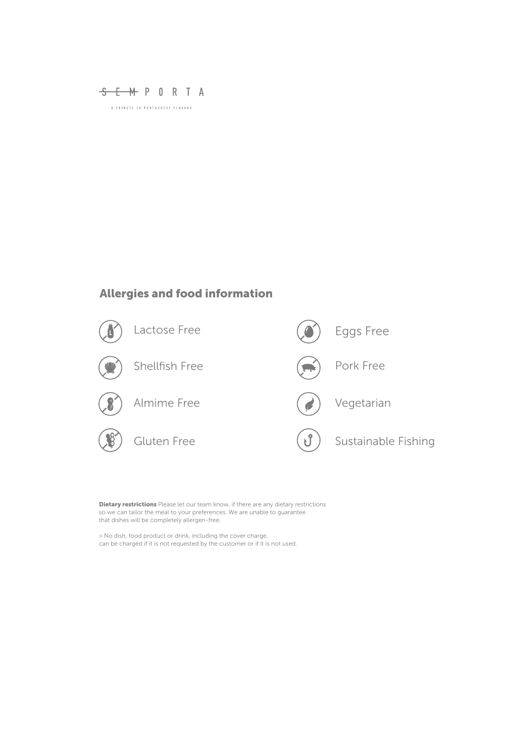

# Allergies and food information



Dietary restrictions Please let our team know, if there are any dietary restrictions so we can tailor the meal to your preferences. We are unable to guarantee that dishes will be completely allergen-free.

> No dish, food product or drink, including the cover charge, can be charged if it is not requested by the customer or if it is not used.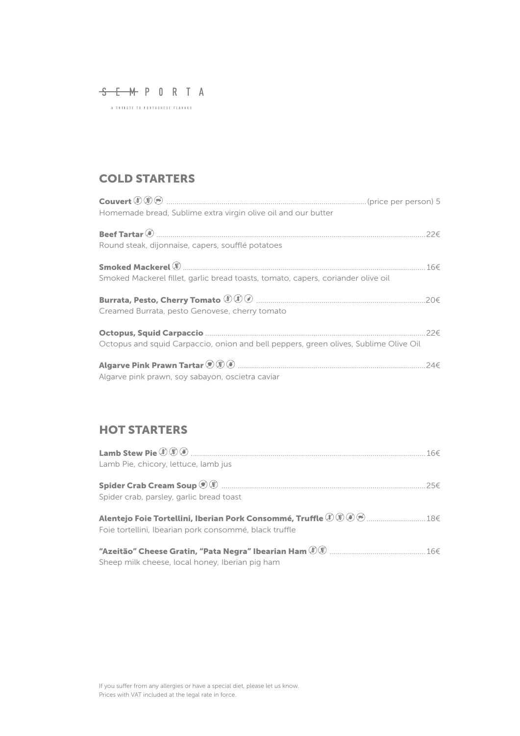S E M P O R T A

# COLD STARTERS

| Homemade bread, Sublime extra virgin olive oil and our butter                        |          |
|--------------------------------------------------------------------------------------|----------|
| Round steak, dijonnaise, capers, soufflé potatoes                                    | $22 \in$ |
| Smoked Mackerel fillet, garlic bread toasts, tomato, capers, coriander olive oil     |          |
| Creamed Burrata, pesto Genovese, cherry tomato                                       | .20€     |
| Octopus and squid Carpaccio, onion and bell peppers, green olives, Sublime Olive Oil |          |
| Algarve pink prawn, soy sabayon, oscietra caviar                                     |          |

## HOT STARTERS

| Lamb Pie, chicory, lettuce, lamb jus                   |     |
|--------------------------------------------------------|-----|
|                                                        |     |
|                                                        | 25f |
| Spider crab, parsley, garlic bread toast               |     |
|                                                        |     |
|                                                        |     |
| Foie tortellini, Ibearian pork consommé, black truffle |     |
|                                                        |     |
|                                                        |     |

Sheep milk cheese, local honey, Iberian pig ham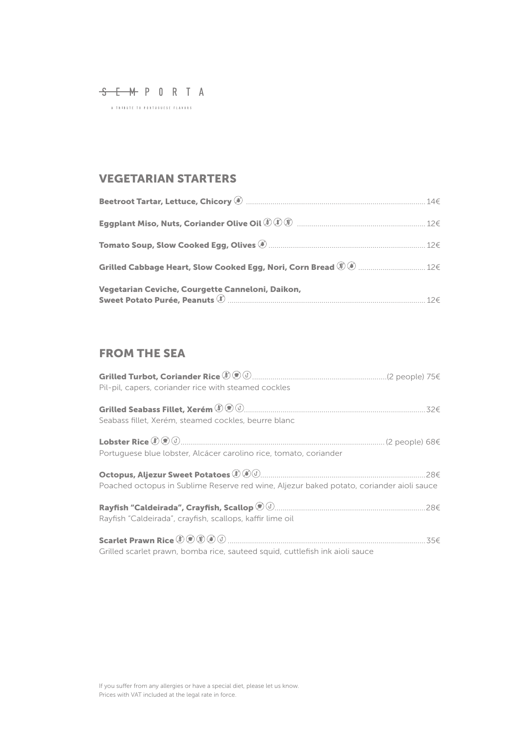S E M P O R T A

# VEGETARIAN STARTERS

| Vegetarian Ceviche, Courgette Canneloni, Daikon, |  |
|--------------------------------------------------|--|

# FROM THE SEA

| Grilled Turbot, Coriander Rice <sup><i>1</i>0 <sup><i>i</i></sup> <i><sup>3</sup> <sup>3</sup> <sup>3</sup> <sup>3</sup> <sup>3</sup> <sup>3</sup> <sup><i>3</i></sup> <i>5</i><sup><i>4</i></sup> <i><sup>4</sup> 3</i><sup><i>5</i></sup> <i>5</i><sup><i>4</i></sup> <i>15€ 75€</i></i></sup><br>Pil-pil, capers, coriander rice with steamed cockles |  |
|----------------------------------------------------------------------------------------------------------------------------------------------------------------------------------------------------------------------------------------------------------------------------------------------------------------------------------------------------------|--|
| Seabass fillet, Xerém, steamed cockles, beurre blanc                                                                                                                                                                                                                                                                                                     |  |
| Lobster Rice $\mathcal{D} \circledast \circlearrowleft $ (2 people) 68€<br>Portuguese blue lobster, Alcácer carolino rice, tomato, coriander                                                                                                                                                                                                             |  |
| Poached octopus in Sublime Reserve red wine, Aljezur baked potato, coriander aioli sauce                                                                                                                                                                                                                                                                 |  |
| Rayfish "Caldeirada", crayfish, scallops, kaffir lime oil                                                                                                                                                                                                                                                                                                |  |
| Grilled scarlet prawn, bomba rice, sauteed squid, cuttlefish ink aioli sauce                                                                                                                                                                                                                                                                             |  |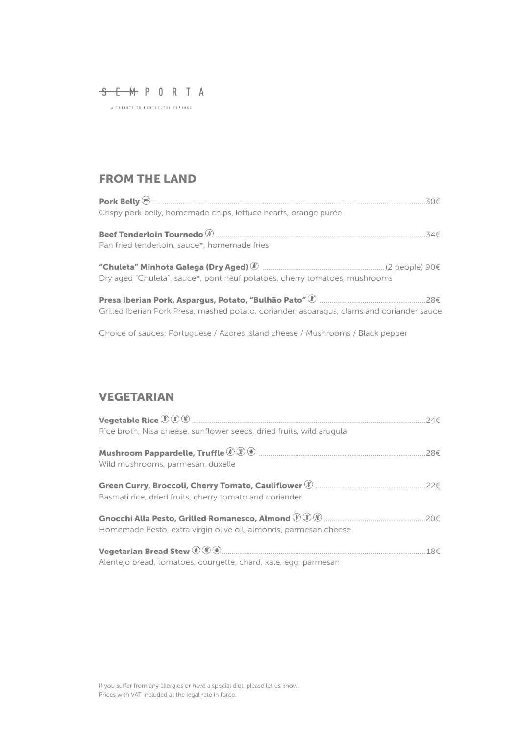S E M P O R T A

## FROM THE LAND

| Crispy pork belly, homemade chips, lettuce hearts, orange purée            |  |
|----------------------------------------------------------------------------|--|
| Pan fried tenderloin, sauce*, homemade fries                               |  |
| Dry aged "Chuleta", sauce*, pont neuf potatoes, cherry tomatoes, mushrooms |  |

Presa Iberian Pork, Aspargus, Potato, "Bulhão Pato" ....................................................28€ Grilled Iberian Pork Presa, mashed potato, coriander, asparagus, clams and coriander sauce

Choice of sauces: Portuguese / Azores Island cheese / Mushrooms / Black pepper

### VEGETARIAN

| Rice broth, Nisa cheese, sunflower seeds, dried fruits, wild arugula | 246           |
|----------------------------------------------------------------------|---------------|
| Wild mushrooms, parmesan, duxelle                                    | $28 \epsilon$ |
| Basmati rice, dried fruits, cherry tomato and coriander              | 22€           |
| Homemade Pesto, extra virgin olive oil, almonds, parmesan cheese     |               |
| Alentejo bread, tomatoes, courgette, chard, kale, egg, parmesan      |               |